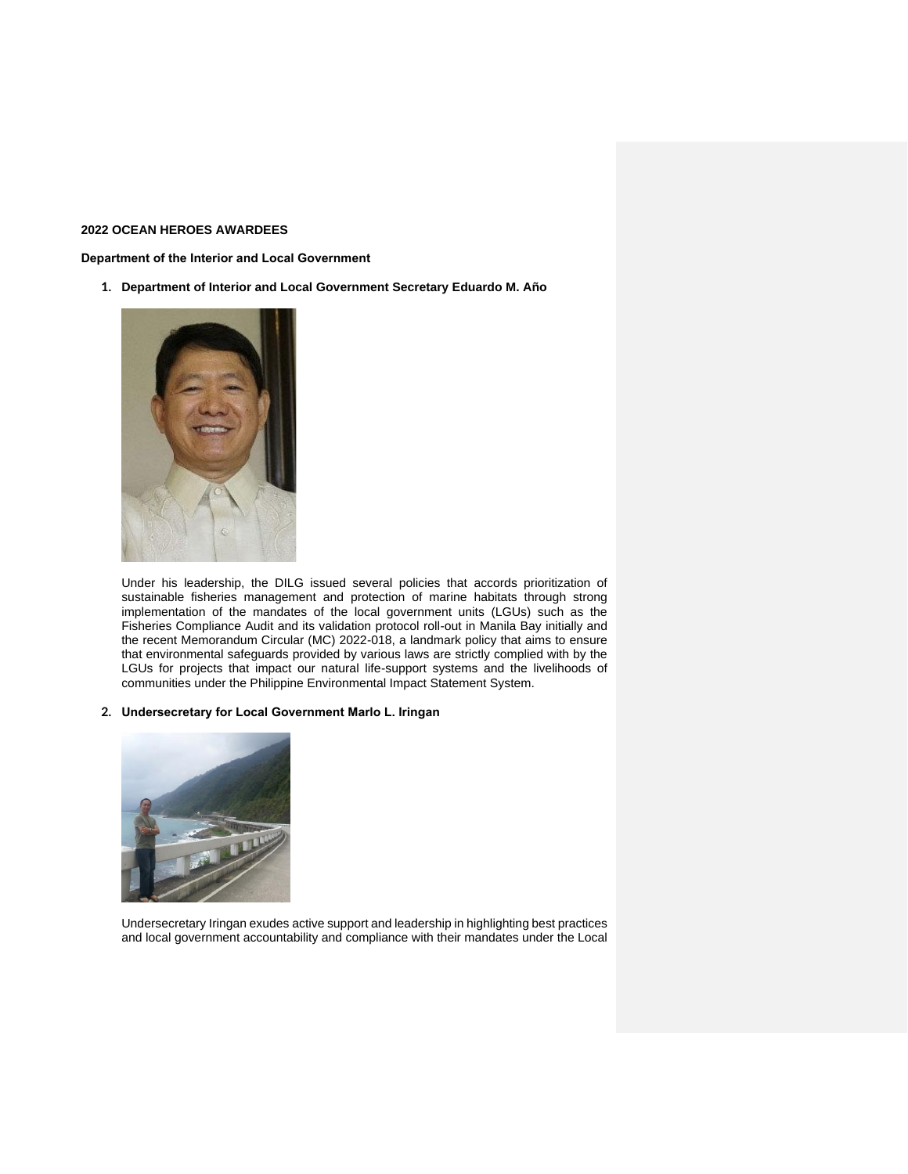### **2022 OCEAN HEROES AWARDEES**

**Department of the Interior and Local Government**

**1. Department of Interior and Local Government Secretary Eduardo M. Año**



Under his leadership, the DILG issued several policies that accords prioritization of sustainable fisheries management and protection of marine habitats through strong implementation of the mandates of the local government units (LGUs) such as the Fisheries Compliance Audit and its validation protocol roll-out in Manila Bay initially and the recent Memorandum Circular (MC) 2022-018, a landmark policy that aims to ensure that environmental safeguards provided by various laws are strictly complied with by the LGUs for projects that impact our natural life-support systems and the livelihoods of communities under the Philippine Environmental Impact Statement System.

## **2. Undersecretary for Local Government Marlo L. Iringan**



Undersecretary Iringan exudes active support and leadership in highlighting best practices and local government accountability and compliance with their mandates under the Local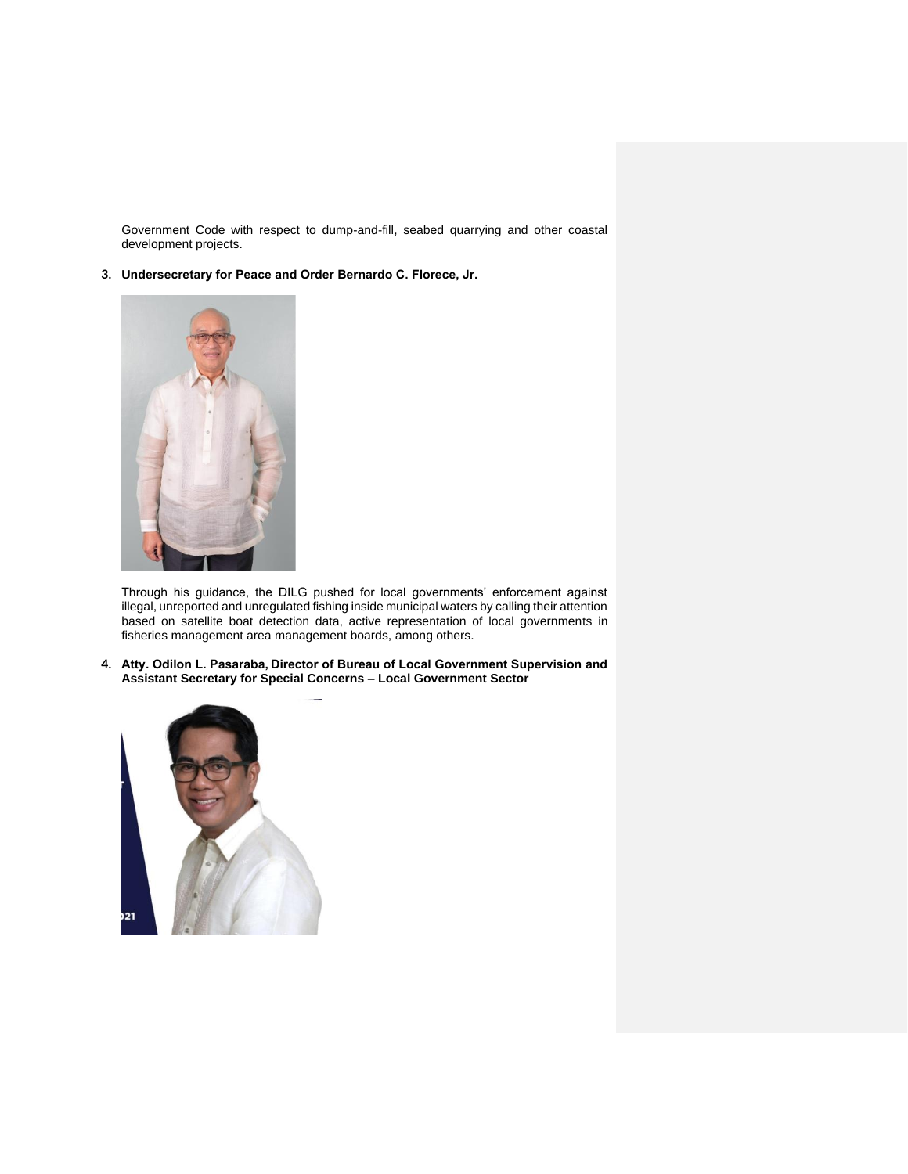Government Code with respect to dump-and-fill, seabed quarrying and other coastal development projects.

**3. Undersecretary for Peace and Order Bernardo C. Florece, Jr.**



Through his guidance, the DILG pushed for local governments' enforcement against illegal, unreported and unregulated fishing inside municipal waters by calling their attention based on satellite boat detection data, active representation of local governments in fisheries management area management boards, among others.

**4. Atty. Odilon L. Pasaraba, Director of Bureau of Local Government Supervision and Assistant Secretary for Special Concerns – Local Government Sector**

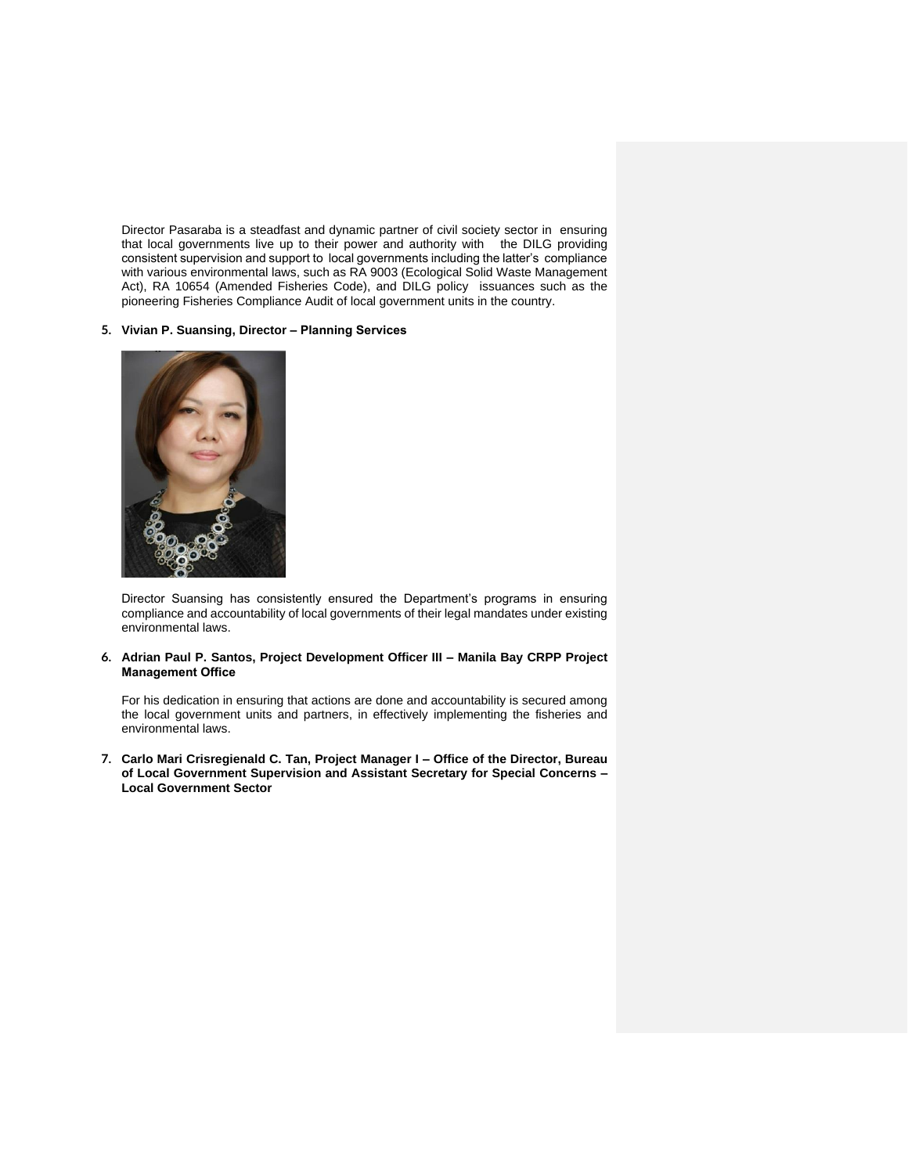Director Pasaraba is a steadfast and dynamic partner of civil society sector in ensuring that local governments live up to their power and authority with the DILG providing consistent supervision and support to local governments including the latter's compliance with various environmental laws, such as RA 9003 (Ecological Solid Waste Management Act), RA 10654 (Amended Fisheries Code), and DILG policy issuances such as the pioneering Fisheries Compliance Audit of local government units in the country.

### **5. Vivian P. Suansing, Director – Planning Services**



Director Suansing has consistently ensured the Department's programs in ensuring compliance and accountability of local governments of their legal mandates under existing environmental laws.

**6. Adrian Paul P. Santos, Project Development Officer III – Manila Bay CRPP Project Management Office**

For his dedication in ensuring that actions are done and accountability is secured among the local government units and partners, in effectively implementing the fisheries and environmental laws.

**7. Carlo Mari Crisregienald C. Tan, Project Manager I – Office of the Director, Bureau of Local Government Supervision and Assistant Secretary for Special Concerns – Local Government Sector**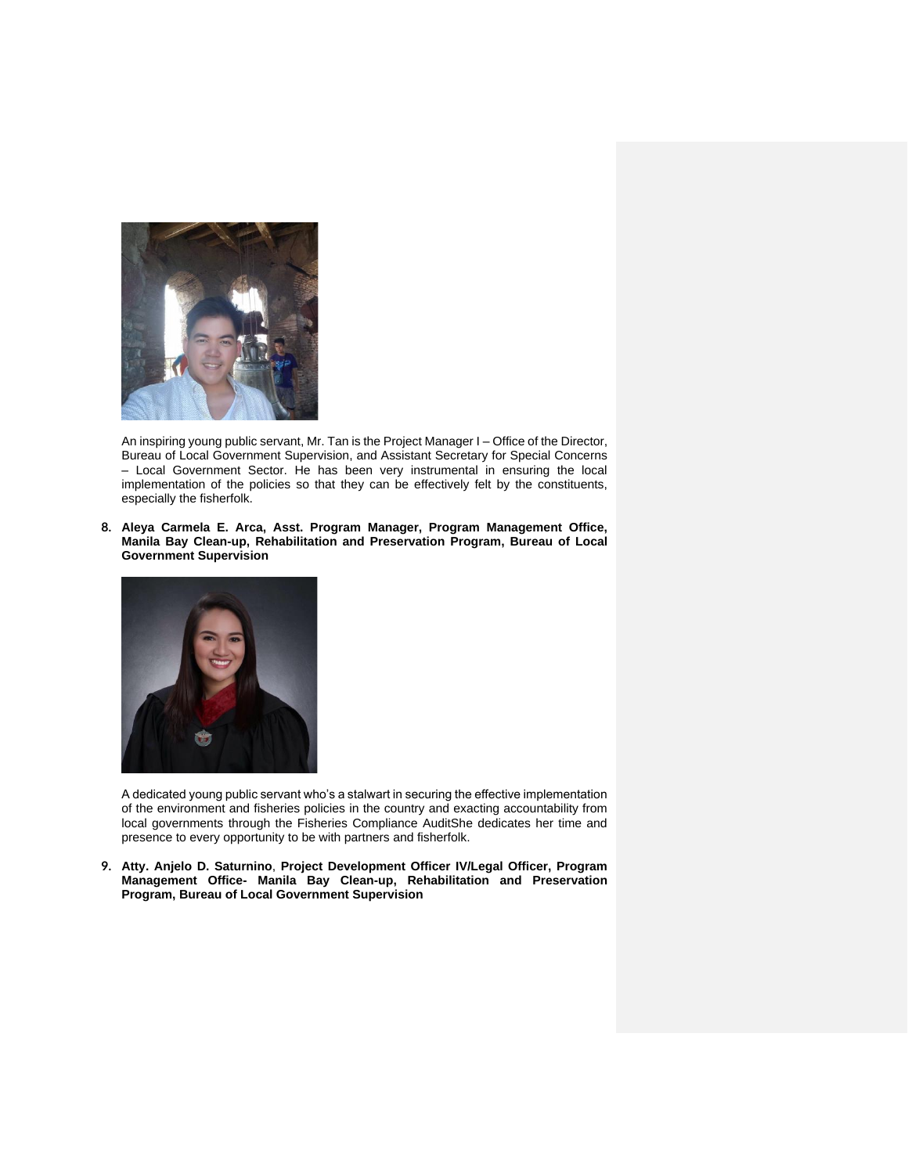

An inspiring young public servant, Mr. Tan is the Project Manager I – Office of the Director, Bureau of Local Government Supervision, and Assistant Secretary for Special Concerns – Local Government Sector. He has been very instrumental in ensuring the local implementation of the policies so that they can be effectively felt by the constituents, especially the fisherfolk.

**8. Aleya Carmela E. Arca, Asst. Program Manager, Program Management Office, Manila Bay Clean-up, Rehabilitation and Preservation Program, Bureau of Local Government Supervision**



A dedicated young public servant who's a stalwart in securing the effective implementation of the environment and fisheries policies in the country and exacting accountability from local governments through the Fisheries Compliance AuditShe dedicates her time and presence to every opportunity to be with partners and fisherfolk.

**9. Atty. Anjelo D. Saturnino**, **Project Development Officer IV/Legal Officer, Program Management Office- Manila Bay Clean-up, Rehabilitation and Preservation Program, Bureau of Local Government Supervision**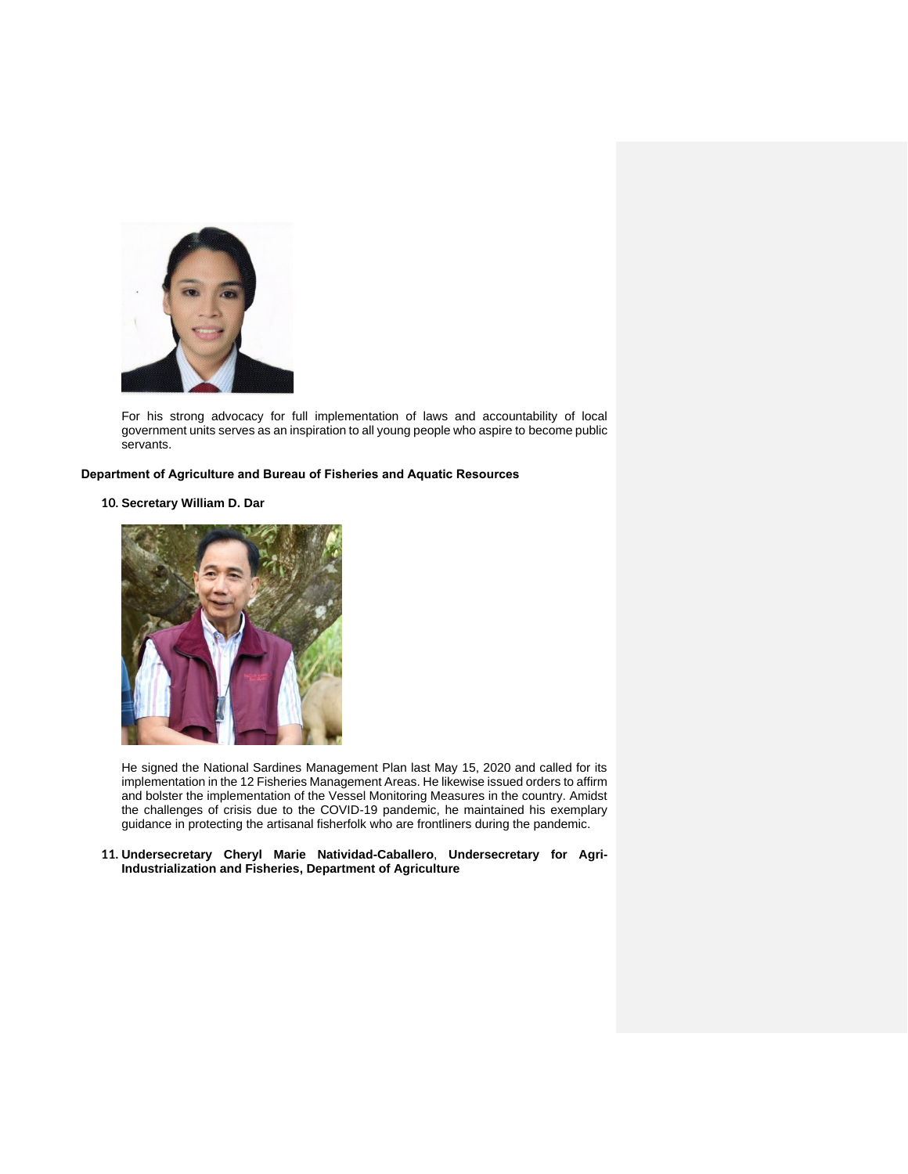

For his strong advocacy for full implementation of laws and accountability of local government units serves as an inspiration to all young people who aspire to become public servants.

## **Department of Agriculture and Bureau of Fisheries and Aquatic Resources**

## **10. Secretary William D. Dar**



He signed the National Sardines Management Plan last May 15, 2020 and called for its implementation in the 12 Fisheries Management Areas. He likewise issued orders to affirm and bolster the implementation of the Vessel Monitoring Measures in the country. Amidst the challenges of crisis due to the COVID-19 pandemic, he maintained his exemplary guidance in protecting the artisanal fisherfolk who are frontliners during the pandemic.

#### **11. Undersecretary Cheryl Marie Natividad-Caballero**, **Undersecretary for Agri-Industrialization and Fisheries, Department of Agriculture**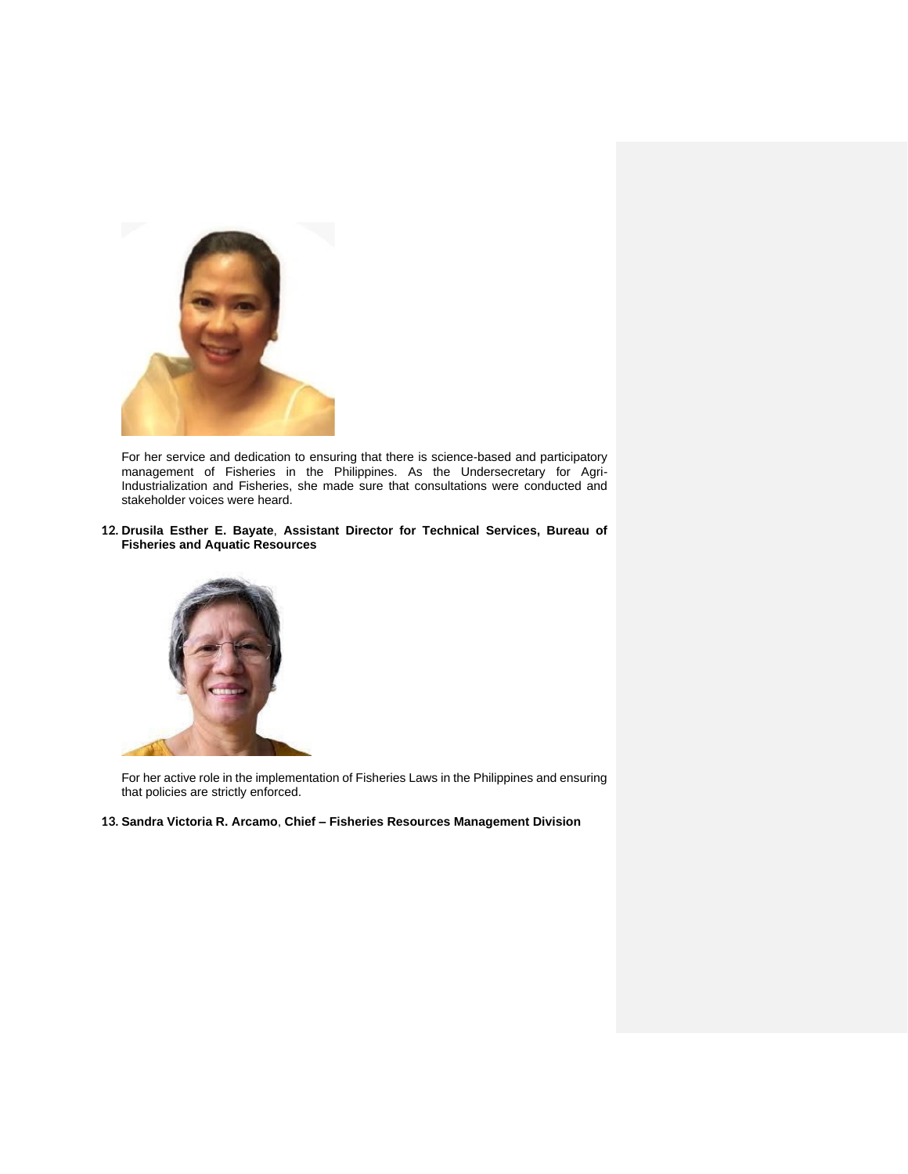

For her service and dedication to ensuring that there is science-based and participatory management of Fisheries in the Philippines. As the Undersecretary for Agri-Industrialization and Fisheries, she made sure that consultations were conducted and stakeholder voices were heard.

**12. Drusila Esther E. Bayate**, **Assistant Director for Technical Services, Bureau of Fisheries and Aquatic Resources**



For her active role in the implementation of Fisheries Laws in the Philippines and ensuring that policies are strictly enforced.

**13. Sandra Victoria R. Arcamo**, **Chief – Fisheries Resources Management Division**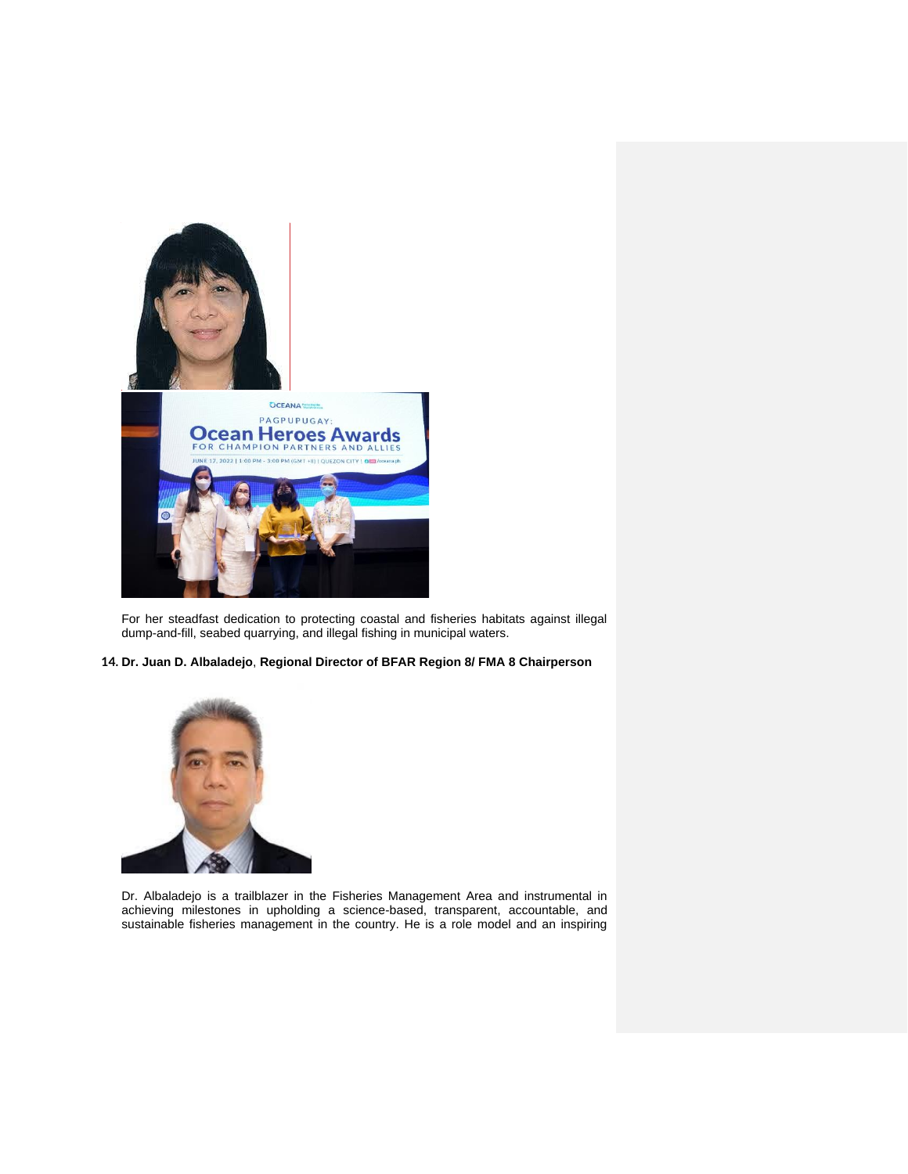

For her steadfast dedication to protecting coastal and fisheries habitats against illegal dump-and-fill, seabed quarrying, and illegal fishing in municipal waters.

**14. Dr. Juan D. Albaladejo**, **Regional Director of BFAR Region 8/ FMA 8 Chairperson**



Dr. Albaladejo is a trailblazer in the Fisheries Management Area and instrumental in achieving milestones in upholding a science-based, transparent, accountable, and sustainable fisheries management in the country. He is a role model and an inspiring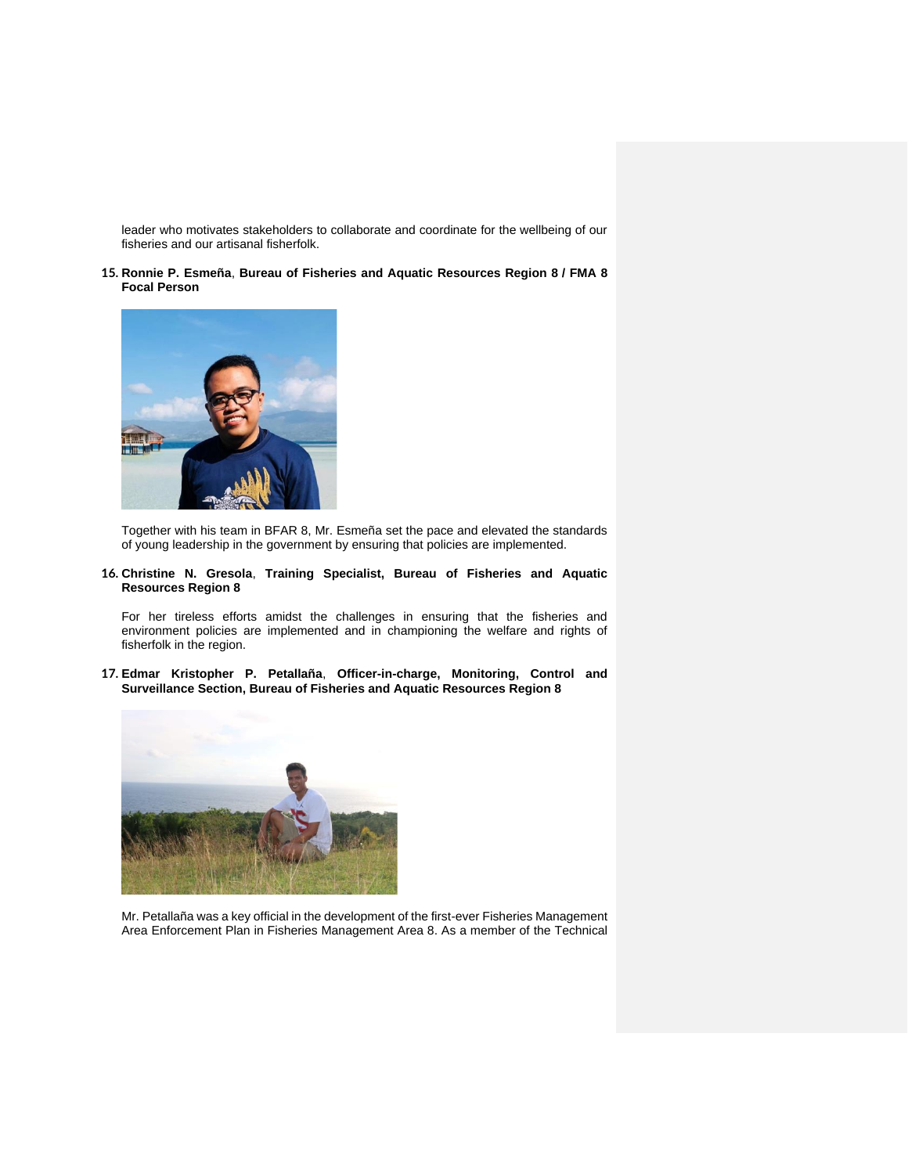leader who motivates stakeholders to collaborate and coordinate for the wellbeing of our fisheries and our artisanal fisherfolk.

**15. Ronnie P. Esmeña**, **Bureau of Fisheries and Aquatic Resources Region 8 / FMA 8 Focal Person**



Together with his team in BFAR 8, Mr. Esmeña set the pace and elevated the standards of young leadership in the government by ensuring that policies are implemented.

**16. Christine N. Gresola**, **Training Specialist, Bureau of Fisheries and Aquatic Resources Region 8**

For her tireless efforts amidst the challenges in ensuring that the fisheries and environment policies are implemented and in championing the welfare and rights of fisherfolk in the region.

**17. Edmar Kristopher P. Petallaña**, **Officer-in-charge, Monitoring, Control and Surveillance Section, Bureau of Fisheries and Aquatic Resources Region 8**



Mr. Petallaña was a key official in the development of the first-ever Fisheries Management Area Enforcement Plan in Fisheries Management Area 8. As a member of the Technical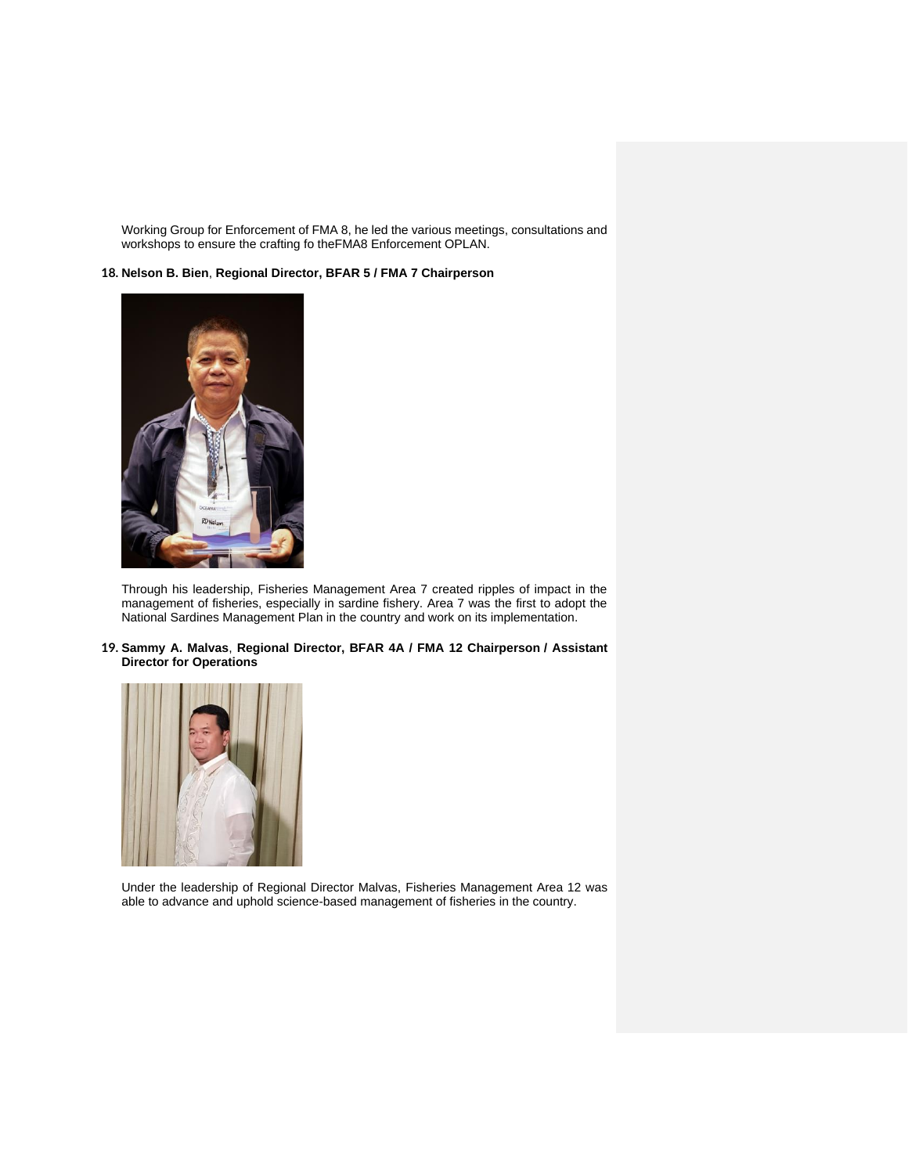Working Group for Enforcement of FMA 8, he led the various meetings, consultations and workshops to ensure the crafting fo theFMA8 Enforcement OPLAN.

## **18. Nelson B. Bien**, **Regional Director, BFAR 5 / FMA 7 Chairperson**



Through his leadership, Fisheries Management Area 7 created ripples of impact in the management of fisheries, especially in sardine fishery. Area 7 was the first to adopt the National Sardines Management Plan in the country and work on its implementation.

## **19. Sammy A. Malvas**, **Regional Director, BFAR 4A / FMA 12 Chairperson / Assistant Director for Operations**



Under the leadership of Regional Director Malvas, Fisheries Management Area 12 was able to advance and uphold science-based management of fisheries in the country.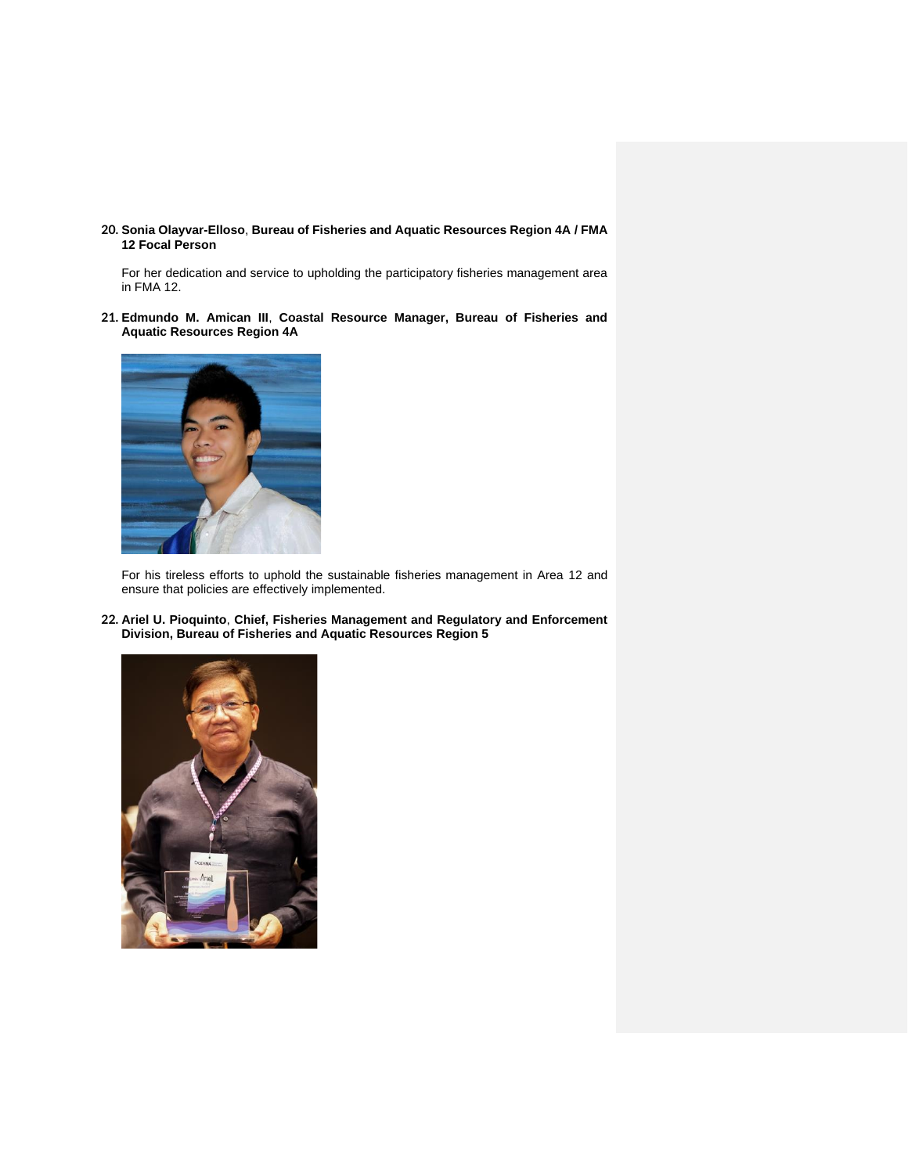**20. Sonia Olayvar-Elloso**, **Bureau of Fisheries and Aquatic Resources Region 4A / FMA 12 Focal Person**

For her dedication and service to upholding the participatory fisheries management area in FMA 12.

**21. Edmundo M. Amican III**, **Coastal Resource Manager, Bureau of Fisheries and Aquatic Resources Region 4A**



For his tireless efforts to uphold the sustainable fisheries management in Area 12 and ensure that policies are effectively implemented.

**22. Ariel U. Pioquinto**, **Chief, Fisheries Management and Regulatory and Enforcement Division, Bureau of Fisheries and Aquatic Resources Region 5**

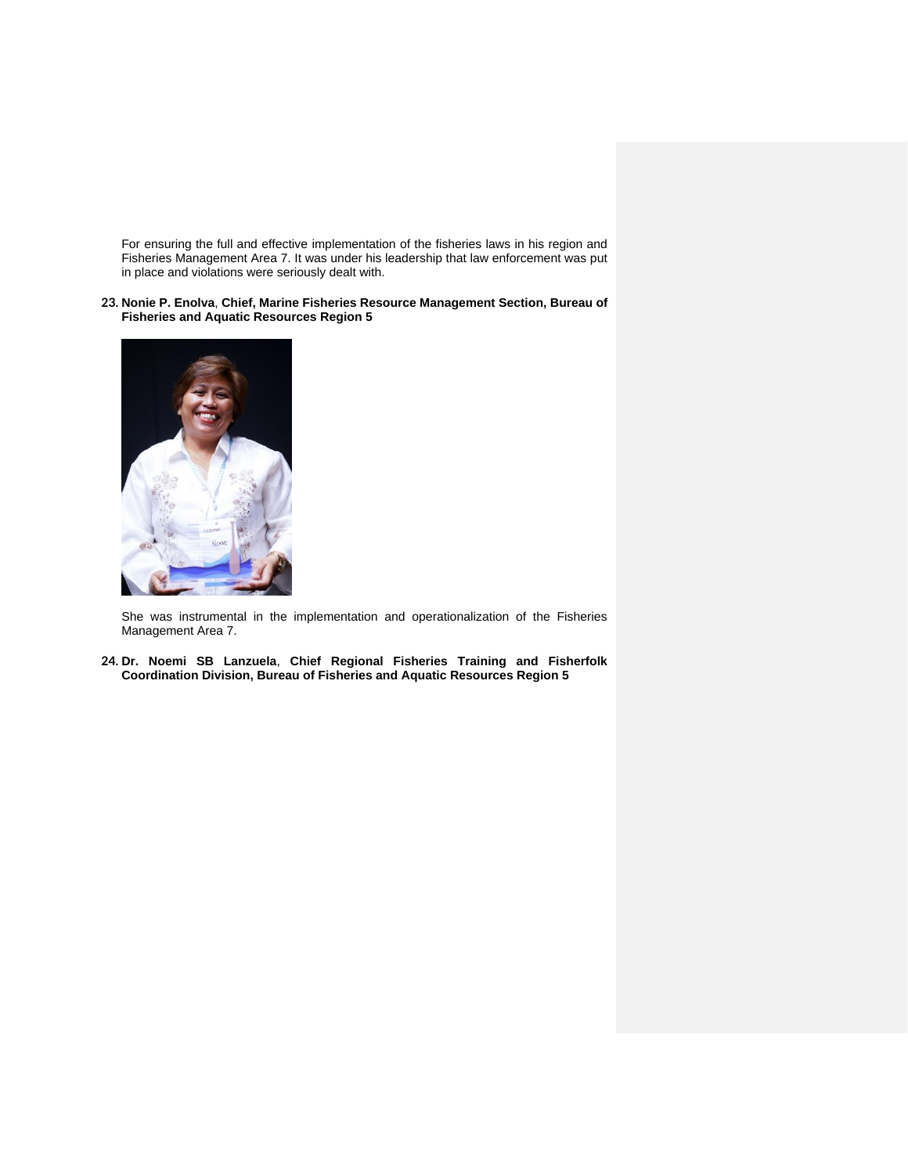For ensuring the full and effective implementation of the fisheries laws in his region and Fisheries Management Area 7. It was under his leadership that law enforcement was put in place and violations were seriously dealt with.

**23. Nonie P. Enolva**, **Chief, Marine Fisheries Resource Management Section, Bureau of Fisheries and Aquatic Resources Region 5**



She was instrumental in the implementation and operationalization of the Fisheries Management Area 7.

**24. Dr. Noemi SB Lanzuela**, **Chief Regional Fisheries Training and Fisherfolk Coordination Division, Bureau of Fisheries and Aquatic Resources Region 5**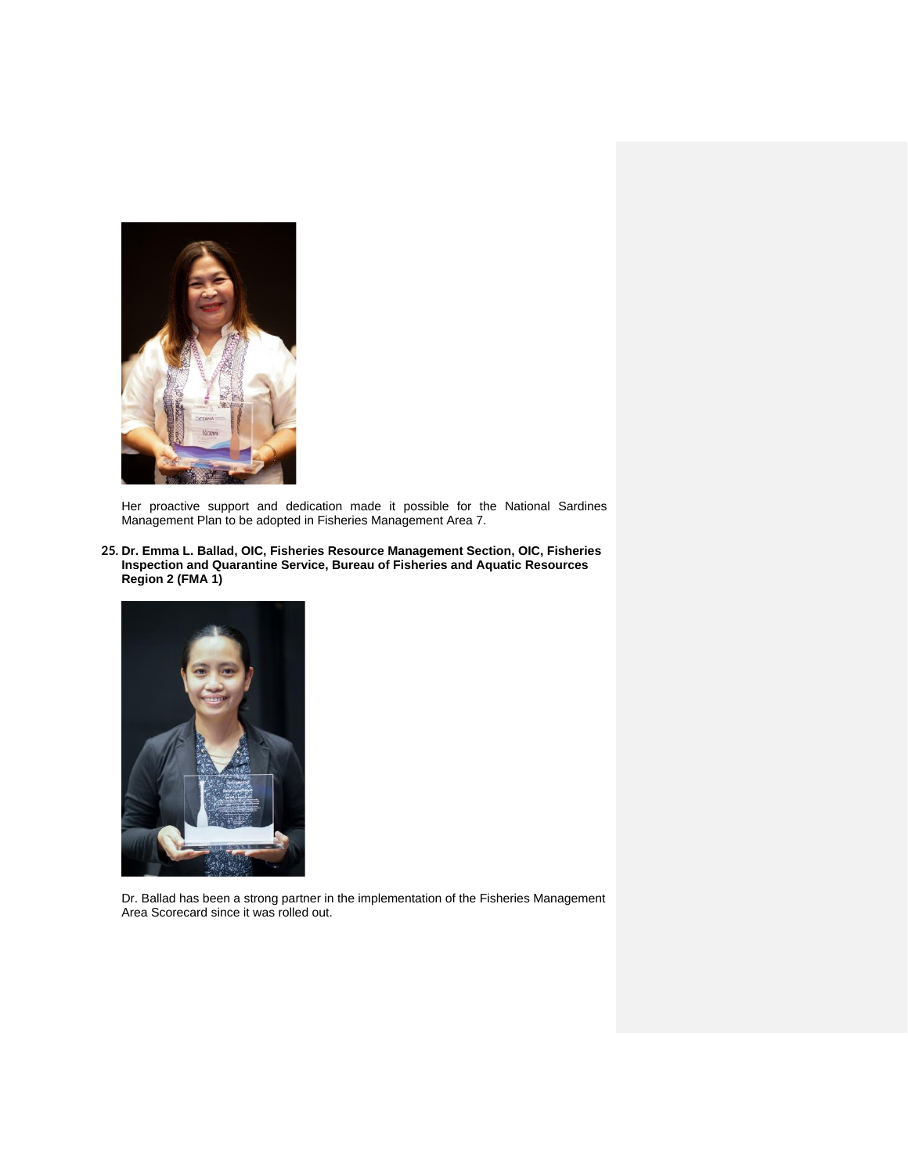

Her proactive support and dedication made it possible for the National Sardines Management Plan to be adopted in Fisheries Management Area 7.

**25. Dr. Emma L. Ballad, OIC, Fisheries Resource Management Section, OIC, Fisheries Inspection and Quarantine Service, Bureau of Fisheries and Aquatic Resources Region 2 (FMA 1)**



Dr. Ballad has been a strong partner in the implementation of the Fisheries Management Area Scorecard since it was rolled out.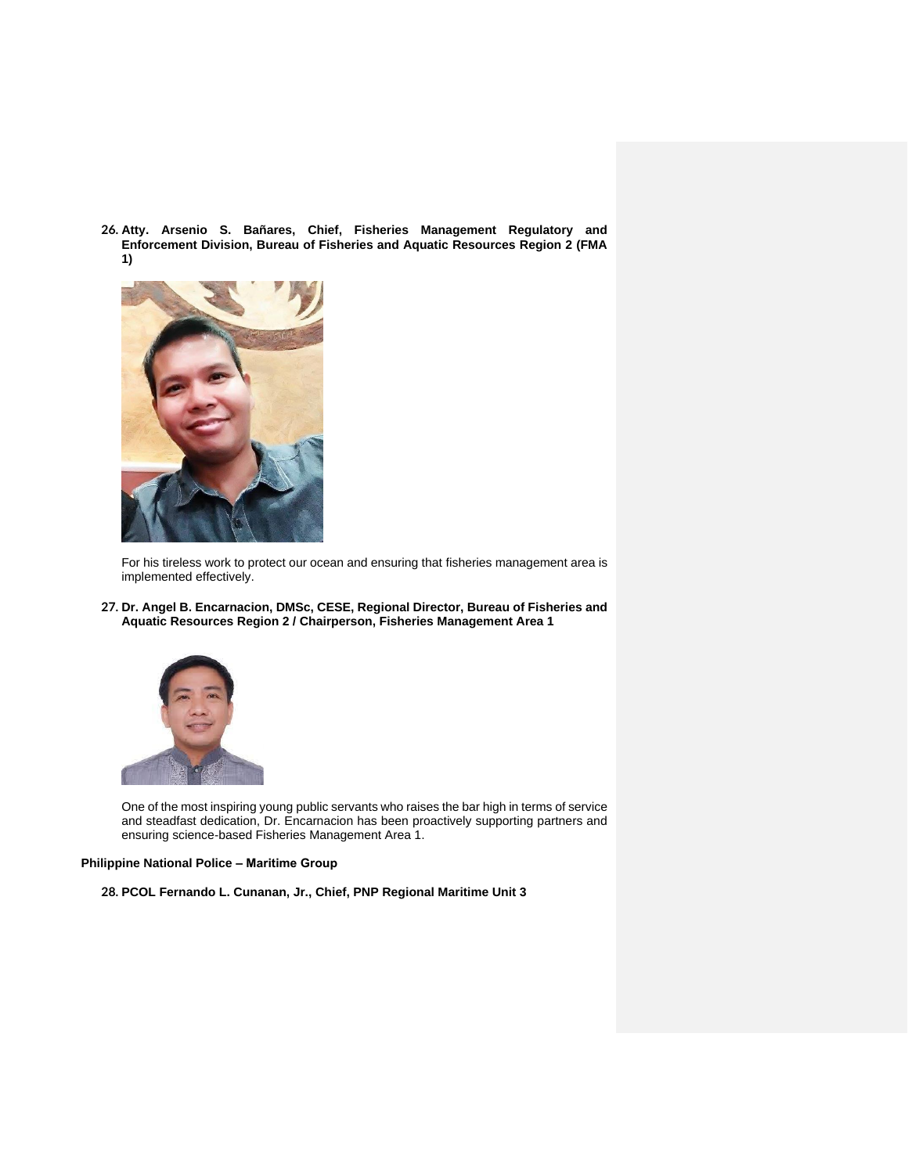**26. Atty. Arsenio S. Bañares, Chief, Fisheries Management Regulatory and Enforcement Division, Bureau of Fisheries and Aquatic Resources Region 2 (FMA 1)**



For his tireless work to protect our ocean and ensuring that fisheries management area is implemented effectively.

**27. Dr. Angel B. Encarnacion, DMSc, CESE, Regional Director, Bureau of Fisheries and Aquatic Resources Region 2 / Chairperson, Fisheries Management Area 1**



One of the most inspiring young public servants who raises the bar high in terms of service and steadfast dedication, Dr. Encarnacion has been proactively supporting partners and ensuring science-based Fisheries Management Area 1.

## **Philippine National Police – Maritime Group**

**28. PCOL Fernando L. Cunanan, Jr., Chief, PNP Regional Maritime Unit 3**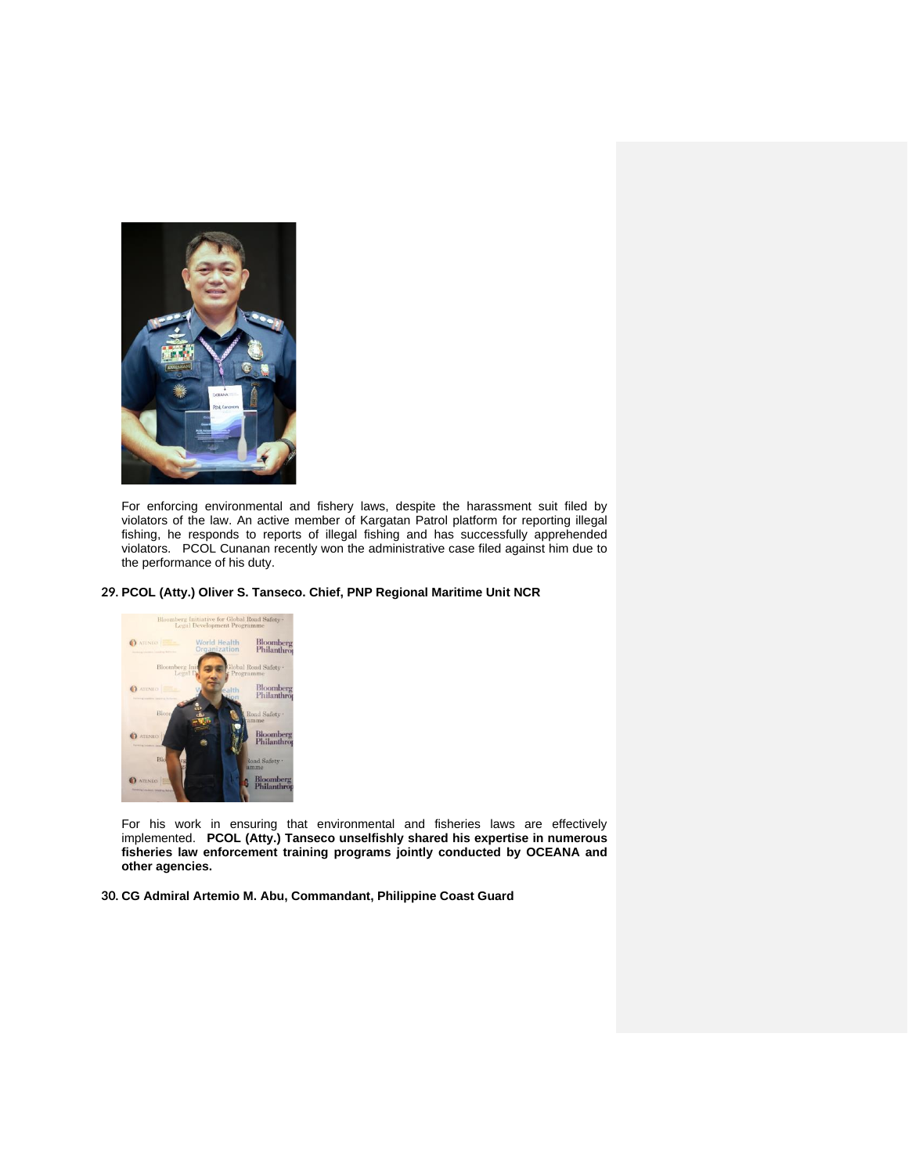

For enforcing environmental and fishery laws, despite the harassment suit filed by violators of the law. An active member of Kargatan Patrol platform for reporting illegal fishing, he responds to reports of illegal fishing and has successfully apprehended violators. PCOL Cunanan recently won the administrative case filed against him due to the performance of his duty.

#### **29. PCOL (Atty.) Oliver S. Tanseco. Chief, PNP Regional Maritime Unit NCR**



For his work in ensuring that environmental and fisheries laws are effectively implemented. **PCOL (Atty.) Tanseco unselfishly shared his expertise in numerous fisheries law enforcement training programs jointly conducted by OCEANA and other agencies.**

**30. CG Admiral Artemio M. Abu, Commandant, Philippine Coast Guard**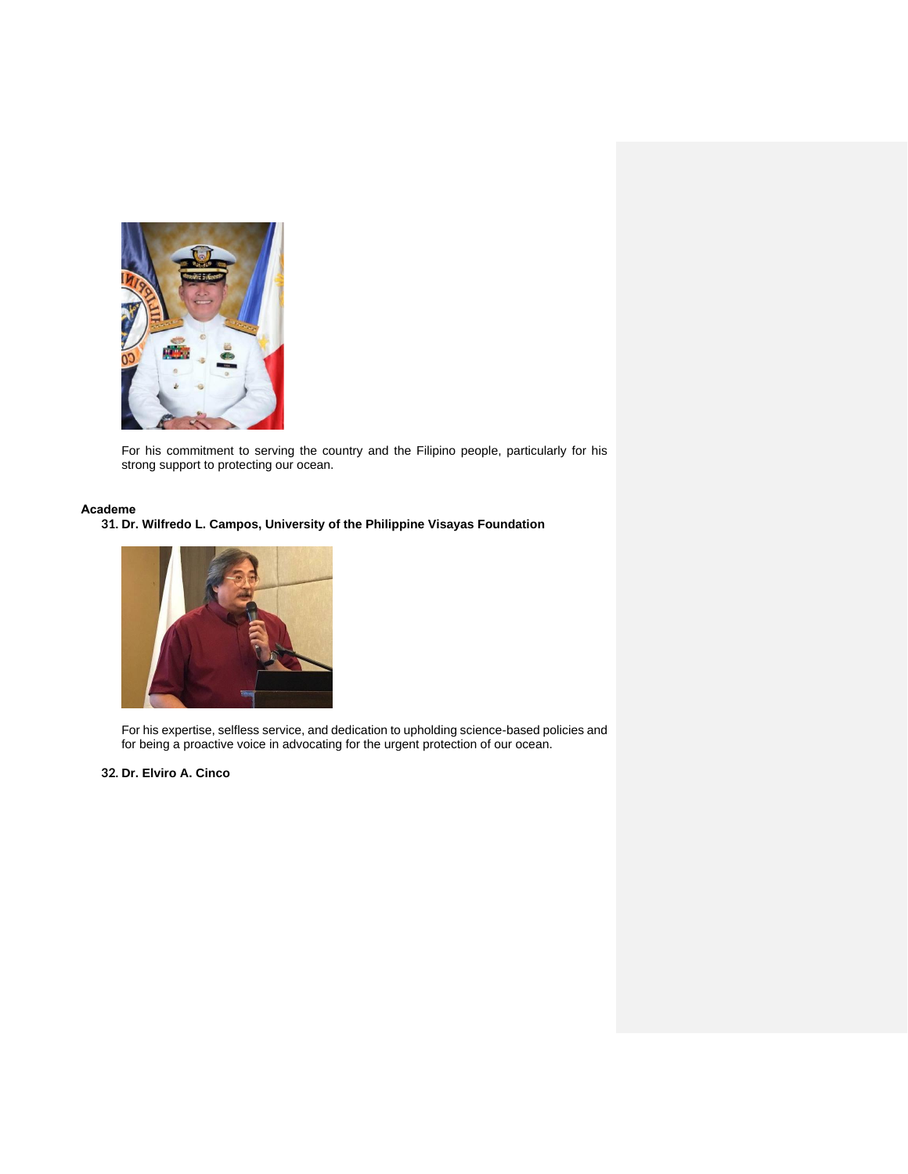

For his commitment to serving the country and the Filipino people, particularly for his strong support to protecting our ocean.

## **Academe**

**31. Dr. Wilfredo L. Campos, University of the Philippine Visayas Foundation**



For his expertise, selfless service, and dedication to upholding science-based policies and for being a proactive voice in advocating for the urgent protection of our ocean.

**32. Dr. Elviro A. Cinco**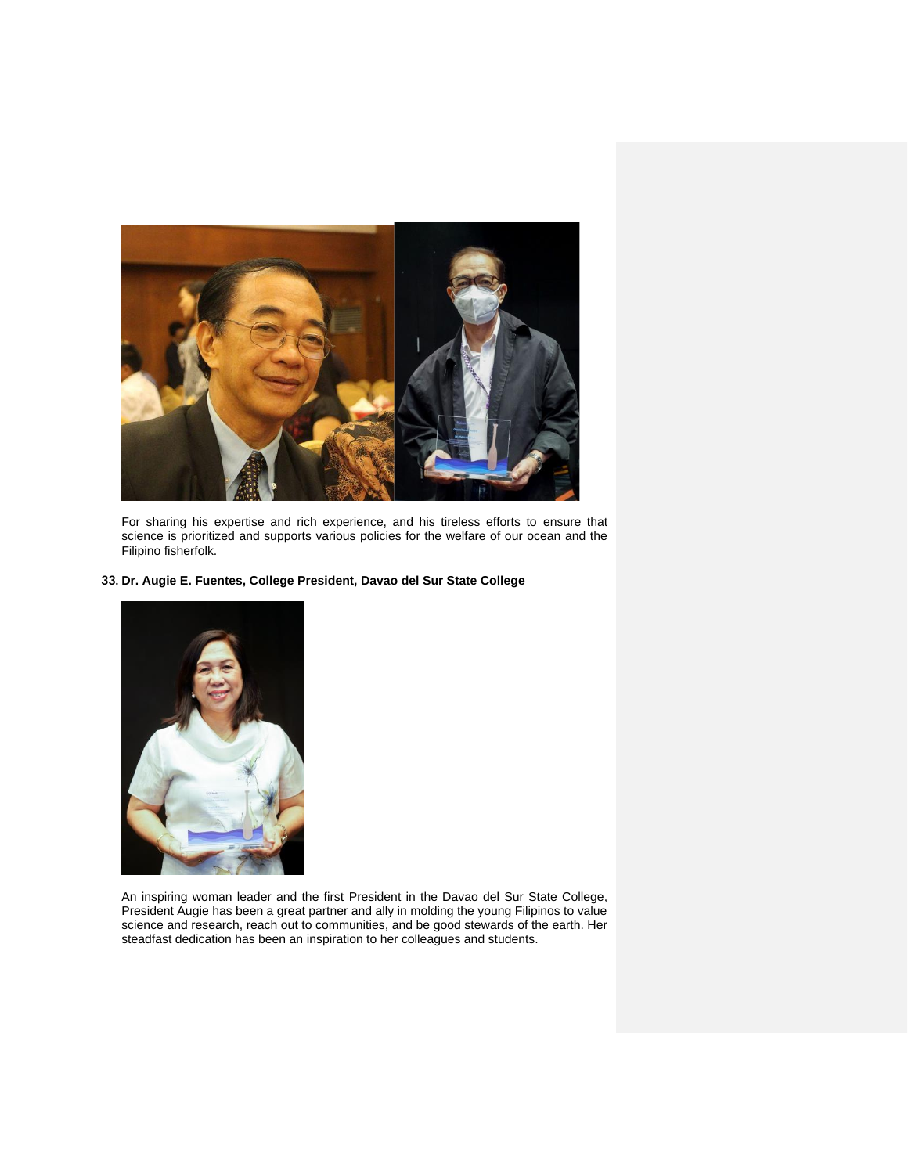

For sharing his expertise and rich experience, and his tireless efforts to ensure that science is prioritized and supports various policies for the welfare of our ocean and the Filipino fisherfolk.

# **33. Dr. Augie E. Fuentes, College President, Davao del Sur State College**



An inspiring woman leader and the first President in the Davao del Sur State College, President Augie has been a great partner and ally in molding the young Filipinos to value science and research, reach out to communities, and be good stewards of the earth. Her steadfast dedication has been an inspiration to her colleagues and students.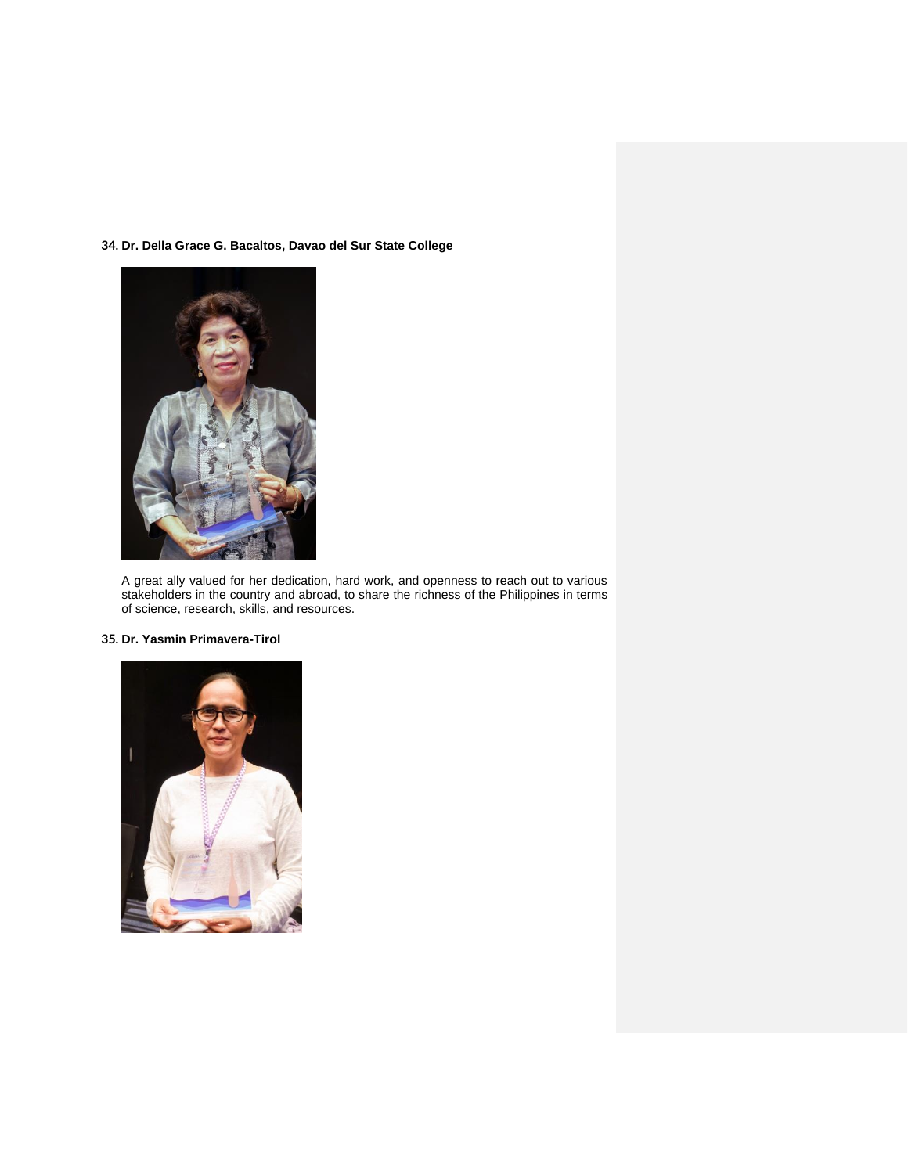**34. Dr. Della Grace G. Bacaltos, Davao del Sur State College** 



A great ally valued for her dedication, hard work, and openness to reach out to various stakeholders in the country and abroad, to share the richness of the Philippines in terms of science, research, skills, and resources.

# **35. Dr. Yasmin Primavera-Tirol**